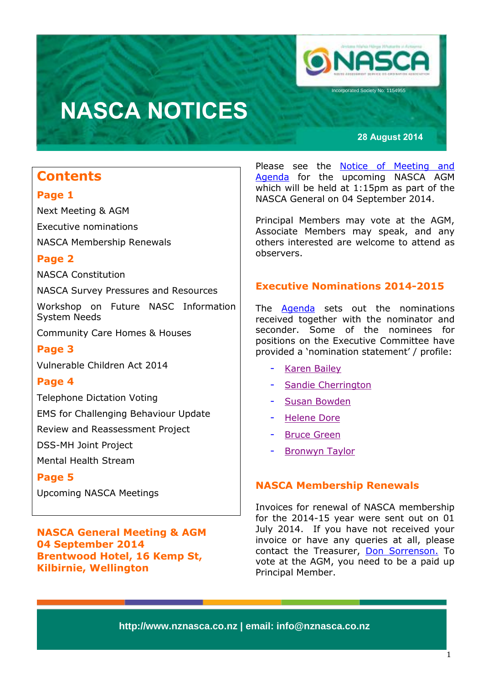

ncorporated Society No: 1154955

# **NASCA NOTICES**

**28 August 2014**

## **Contents**

## **Page 1**

Next Meeting & AGM Executive nominations NASCA Membership Renewals

## **Page 2**

NASCA Constitution

NASCA Survey Pressures and Resources

Workshop on Future NASC Information System Needs

Community Care Homes & Houses

## **Page 3**

Vulnerable Children Act 2014

## **Page 4**

Telephone Dictation Voting

EMS for Challenging Behaviour Update

Review and Reassessment Project

DSS-MH Joint Project

Mental Health Stream

## **Page 5**

Upcoming NASCA Meetings

**NASCA General Meeting & AGM 04 September 2014 Brentwood Hotel, 16 Kemp St, Kilbirnie, Wellington**

Please see the **Notice of Meeting and** [Agenda](http://www.nznasca.co.nz/?wpdmdl=333) for the upcoming NASCA AGM which will be held at 1:15pm as part of the NASCA General on 04 September 2014.

Principal Members may vote at the AGM, Associate Members may speak, and any others interested are welcome to attend as observers.

## **Executive Nominations 2014-2015**

The [Agenda](http://www.nznasca.co.nz/?wpdmdl=333) sets out the nominations received together with the nominator and seconder. Some of the nominees for positions on the Executive Committee have provided a 'nomination statement' / profile:

- [Karen Bailey](http://www.nznasca.co.nz/?wpdmdl=320)
- [Sandie Cherrington](http://www.nznasca.co.nz/?wpdmdl=321)
- [Susan Bowden](http://www.nznasca.co.nz/?wpdmdl=325)
- [Helene Dore](http://www.nznasca.co.nz/?wpdmdl=322)
- [Bruce Green](http://www.nznasca.co.nz/?wpdmdl=326)
- [Bronwyn Taylor](http://www.nznasca.co.nz/?wpdmdl=323)

### **NASCA Membership Renewals**

Invoices for renewal of NASCA membership for the 2014-15 year were sent out on 01 July 2014. If you have not received your invoice or have any queries at all, please contact the Treasurer, [Don Sorrenson.](mailto:Don.Sorrenson@bopdhb.govt.nz) To vote at the AGM, you need to be a paid up Principal Member.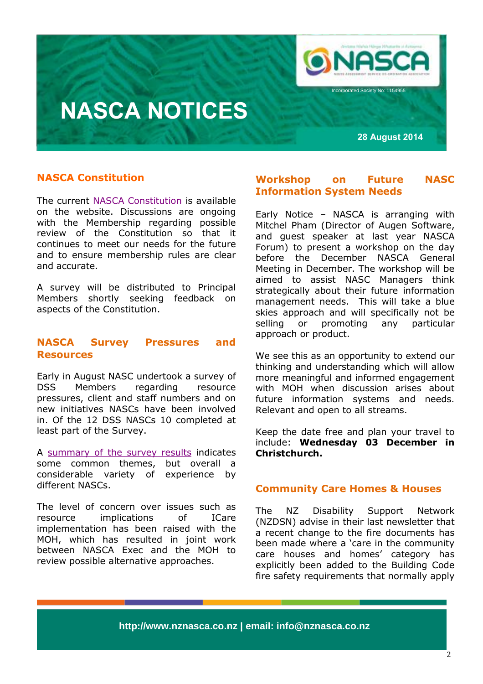

ncorporated Society No: 1154955

# **NASCA NOTICES**

**28 August 2014**

### **NASCA Constitution**

The current [NASCA Constitution](http://www.nznasca.co.nz/?wpdmdl=148) is available on the website. Discussions are ongoing with the Membership regarding possible review of the Constitution so that it continues to meet our needs for the future and to ensure membership rules are clear and accurate.

A survey will be distributed to Principal Members shortly seeking feedback on aspects of the Constitution.

#### **NASCA Survey Pressures and Resources**

Early in August NASC undertook a survey of DSS Members regarding resource pressures, client and staff numbers and on new initiatives NASCs have been involved in. Of the 12 DSS NASCs 10 completed at least part of the Survey.

A [summary of the survey results](http://www.nznasca.co.nz/?wpdmdl=338) indicates some common themes, but overall a considerable variety of experience by different NASCs.

The level of concern over issues such as resource implications of ICare implementation has been raised with the MOH, which has resulted in joint work between NASCA Exec and the MOH to review possible alternative approaches.

#### **Workshop on Future NASC Information System Needs**

Early Notice – NASCA is arranging with Mitchel Pham (Director of Augen Software, and guest speaker at last year NASCA Forum) to present a workshop on the day before the December NASCA General Meeting in December. The workshop will be aimed to assist NASC Managers think strategically about their future information management needs. This will take a blue skies approach and will specifically not be selling or promoting any particular approach or product.

We see this as an opportunity to extend our thinking and understanding which will allow more meaningful and informed engagement with MOH when discussion arises about future information systems and needs. Relevant and open to all streams.

Keep the date free and plan your travel to include: **Wednesday 03 December in Christchurch.**

#### **Community Care Homes & Houses**

The NZ Disability Support Network (NZDSN) advise in their last newsletter that a recent change to the fire documents has been made where a 'care in the community care houses and homes' category has explicitly been added to the Building Code fire safety requirements that normally apply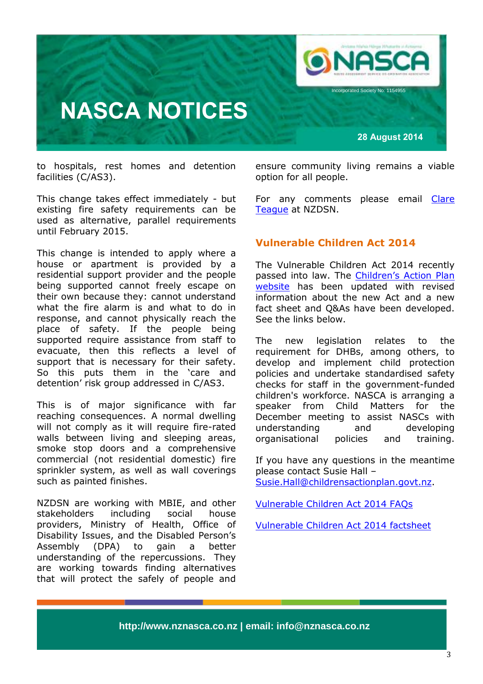

to hospitals, rest homes and detention facilities (C/AS3).

This change takes effect immediately - but existing fire safety requirements can be used as alternative, parallel requirements until February 2015.

This change is intended to apply where a house or apartment is provided by a residential support provider and the people being supported cannot freely escape on their own because they: cannot understand what the fire alarm is and what to do in response, and cannot physically reach the place of safety. If the people being supported require assistance from staff to evacuate, then this reflects a level of support that is necessary for their safety. So this puts them in the 'care and detention' risk group addressed in C/AS3.

This is of major significance with far reaching consequences. A normal dwelling will not comply as it will require fire-rated walls between living and sleeping areas, smoke stop doors and a comprehensive commercial (not residential domestic) fire sprinkler system, as well as wall coverings such as painted finishes.

NZDSN are working with MBIE, and other stakeholders including social house providers, Ministry of Health, Office of Disability Issues, and the Disabled Person's Assembly (DPA) to gain a better understanding of the repercussions. They are working towards finding alternatives that will protect the safely of people and

ensure community living remains a viable option for all people.

For any comments please email Clare [Teague](mailto:clareteague@nzdsn.org.nz) at NZDSN.

### **Vulnerable Children Act 2014**

The Vulnerable Children Act 2014 recently passed into law. The [Children's Action Plan](http://childrensactionplan.govt.nz/)  [website](http://childrensactionplan.govt.nz/) has been updated with revised information about the new Act and a new fact sheet and Q&As have been developed. See the links below.

The new legislation relates to the requirement for DHBs, among others, to develop and implement child protection policies and undertake standardised safety checks for staff in the government-funded children's workforce. NASCA is arranging a speaker from Child Matters for the December meeting to assist NASCs with understanding and developing organisational policies and training.

If you have any questions in the meantime please contact Susie Hall – [Susie.Hall@childrensactionplan.govt.nz.](mailto:Susie.Hall@childrensactionplan.govt.nz)

[Vulnerable Children Act 2014 FAQs](http://www.childrensactionplan.govt.nz/legislation-/faqs/)

[Vulnerable Children Act 2014 factsheet](http://www.childrensactionplan.govt.nz/assets/Uploads/Vulnerable-Children-Act-2014-fact-sheet.pdf)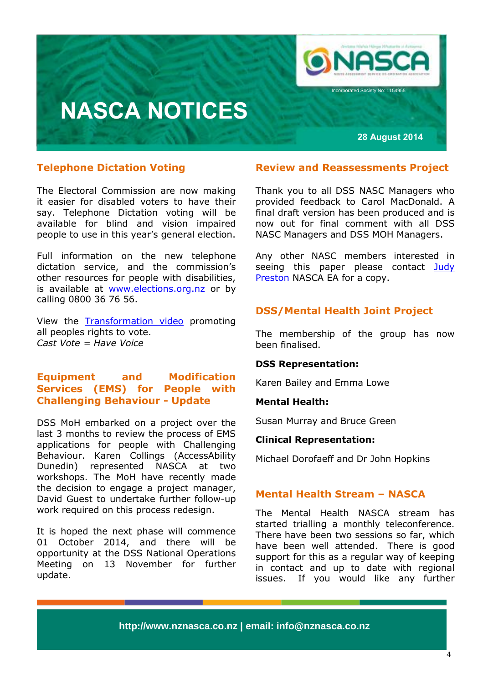

#### **Telephone Dictation Voting**

The Electoral Commission are now making it easier for disabled voters to have their say. Telephone Dictation voting will be available for blind and vision impaired people to use in this year's general election.

Full information on the new telephone dictation service, and the commission's other resources for people with disabilities, is available at [www.elections.org.nz](http://www.elections.org.nz/) or by calling 0800 36 76 56.

View the [Transformation video](https://www.youtube.com/watch?v=Apdl1nhdvnQ) promoting all peoples rights to vote. *Cast Vote = Have Voice*

### **Equipment and Modification Services (EMS) for People with Challenging Behaviour - Update**

DSS MoH embarked on a project over the last 3 months to review the process of EMS applications for people with Challenging Behaviour. Karen Collings (AccessAbility Dunedin) represented NASCA at two workshops. The MoH have recently made the decision to engage a project manager, David Guest to undertake further follow-up work required on this process redesign.

It is hoped the next phase will commence 01 October 2014, and there will be opportunity at the DSS National Operations Meeting on 13 November for further update.

#### **Review and Reassessments Project**

Thank you to all DSS NASC Managers who provided feedback to Carol MacDonald. A final draft version has been produced and is now out for final comment with all DSS NASC Managers and DSS MOH Managers.

Any other NASC members interested in seeing this paper please contact Judy [Preston](mailto:info@nznasca.co.nz) NASCA EA for a copy.

### **DSS/Mental Health Joint Project**

The membership of the group has now been finalised.

#### **DSS Representation:**

Karen Bailey and Emma Lowe

#### **Mental Health:**

Susan Murray and Bruce Green

#### **Clinical Representation:**

Michael Dorofaeff and Dr John Hopkins

#### **Mental Health Stream – NASCA**

The Mental Health NASCA stream has started trialling a monthly teleconference. There have been two sessions so far, which have been well attended. There is good support for this as a regular way of keeping in contact and up to date with regional issues. If you would like any further